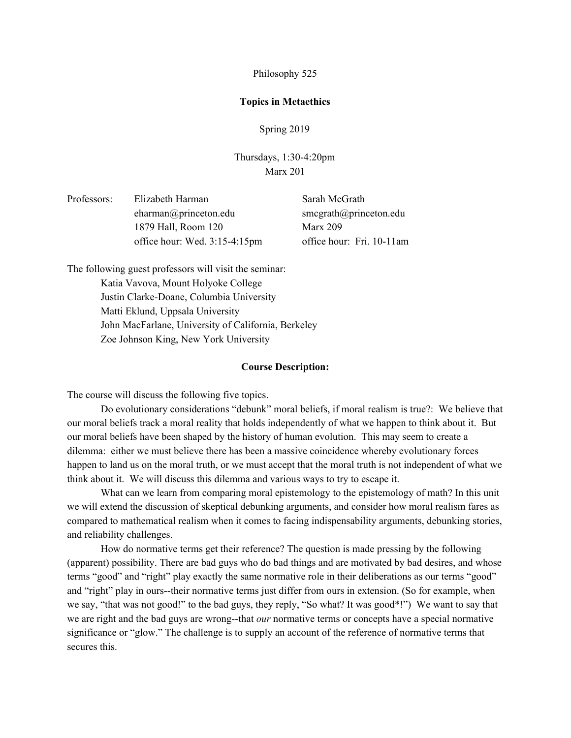Philosophy 525

### **Topics in Metaethics**

Spring 2019

Thursdays, 1:30-4:20pm Marx 201

| Professors: | Elizabeth Harman                 | Sarah McGrath             |
|-------------|----------------------------------|---------------------------|
|             | eharman@princeton.edu            | smegrath@princeton.edu    |
|             | 1879 Hall, Room 120              | Marx $209$                |
|             | office hour: Wed. $3:15-4:15$ pm | office hour: Fri. 10-11am |

The following guest professors will visit the seminar: Katia Vavova, Mount Holyoke College Justin Clarke-Doane, Columbia University Matti Eklund, Uppsala University John MacFarlane, University of California, Berkeley Zoe Johnson King, New York University

### **Course Description:**

The course will discuss the following five topics.

Do evolutionary considerations "debunk" moral beliefs, if moral realism is true?: We believe that our moral beliefs track a moral reality that holds independently of what we happen to think about it. But our moral beliefs have been shaped by the history of human evolution. This may seem to create a dilemma: either we must believe there has been a massive coincidence whereby evolutionary forces happen to land us on the moral truth, or we must accept that the moral truth is not independent of what we think about it. We will discuss this dilemma and various ways to try to escape it.

What can we learn from comparing moral epistemology to the epistemology of math? In this unit we will extend the discussion of skeptical debunking arguments, and consider how moral realism fares as compared to mathematical realism when it comes to facing indispensability arguments, debunking stories, and reliability challenges.

How do normative terms get their reference? The question is made pressing by the following (apparent) possibility. There are bad guys who do bad things and are motivated by bad desires, and whose terms "good" and "right" play exactly the same normative role in their deliberations as our terms "good" and "right" play in ours--their normative terms just differ from ours in extension. (So for example, when we say, "that was not good!" to the bad guys, they reply, "So what? It was good\*!") We want to say that we are right and the bad guys are wrong--that *our* normative terms or concepts have a special normative significance or "glow." The challenge is to supply an account of the reference of normative terms that secures this.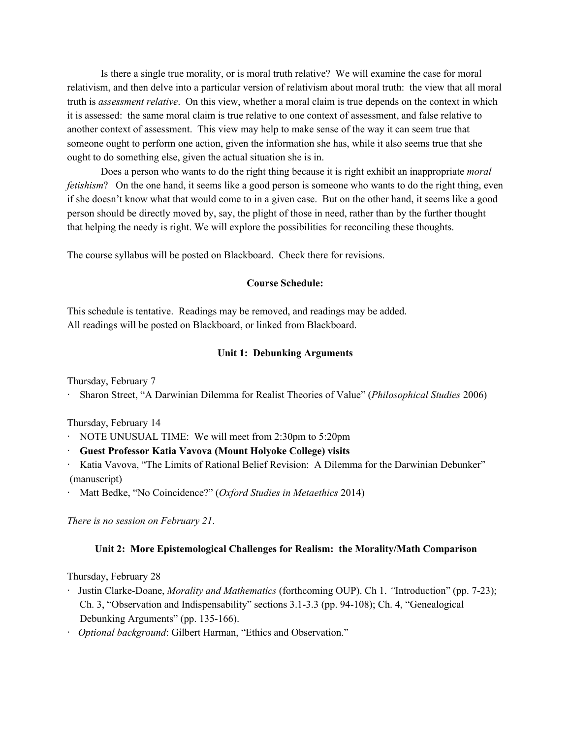Is there a single true morality, or is moral truth relative? We will examine the case for moral relativism, and then delve into a particular version of relativism about moral truth: the view that all moral truth is *assessment relative*. On this view, whether a moral claim is true depends on the context in which it is assessed: the same moral claim is true relative to one context of assessment, and false relative to another context of assessment. This view may help to make sense of the way it can seem true that someone ought to perform one action, given the information she has, while it also seems true that she ought to do something else, given the actual situation she is in.

Does a person who wants to do the right thing because it is right exhibit an inappropriate *moral fetishism*? On the one hand, it seems like a good person is someone who wants to do the right thing, even if she doesn't know what that would come to in a given case. But on the other hand, it seems like a good person should be directly moved by, say, the plight of those in need, rather than by the further thought that helping the needy is right. We will explore the possibilities for reconciling these thoughts.

The course syllabus will be posted on Blackboard. Check there for revisions.

### **Course Schedule:**

This schedule is tentative. Readings may be removed, and readings may be added. All readings will be posted on Blackboard, or linked from Blackboard.

### **Unit 1: Debunking Arguments**

Thursday, February 7

· Sharon Street, "A Darwinian Dilemma for Realist Theories of Value" (*Philosophical Studies* 2006)

Thursday, February 14

- · NOTE UNUSUAL TIME: We will meet from 2:30pm to 5:20pm
- · **Guest Professor Katia Vavova (Mount Holyoke College) visits**
- · Katia Vavova, "The Limits of Rational Belief Revision: A Dilemma for the Darwinian Debunker" (manuscript)
- · Matt Bedke, "No Coincidence?" (*Oxford Studies in Metaethics* 2014)

*There is no session on February 21*.

### **Unit 2: More Epistemological Challenges for Realism: the Morality/Math Comparison**

Thursday, February 28

- · Justin Clarke-Doane, *Morality and Mathematics* (forthcoming OUP). Ch 1. *"*Introduction" (pp. 7-23); Ch. 3, "Observation and Indispensability" sections 3.1-3.3 (pp. 94-108); Ch. 4, "Genealogical Debunking Arguments" (pp. 135-166).
- · *Optional background*: Gilbert Harman, "Ethics and Observation."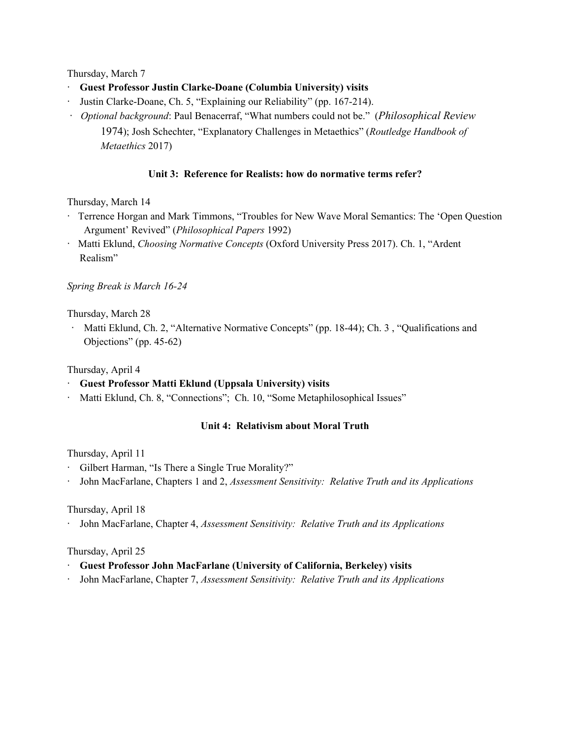Thursday, March 7

- · **Guest Professor Justin Clarke-Doane (Columbia University) visits**
- · Justin Clarke-Doane, Ch. 5, "Explaining our Reliability" (pp. 167-214).
- · *Optional background*: Paul Benacerraf, "What numbers could not be." (*Philosophical Review* 1974); Josh Schechter, "Explanatory Challenges in Metaethics" (*Routledge Handbook of Metaethics* 2017)

# **Unit 3: Reference for Realists: how do normative terms refer?**

# Thursday, March 14

- · Terrence Horgan and Mark Timmons, "Troubles for New Wave Moral Semantics: The 'Open Question Argument' Revived" (*Philosophical Papers* 1992)
- · Matti Eklund, *Choosing Normative Concepts* (Oxford University Press 2017). Ch. 1, "Ardent Realism"

### *Spring Break is March 16-24*

Thursday, March 28

· Matti Eklund, Ch. 2, "Alternative Normative Concepts" (pp. 18-44); Ch. 3 , "Qualifications and Objections" (pp. 45-62)

Thursday, April 4

- · **Guest Professor Matti Eklund (Uppsala University) visits**
- · Matti Eklund, Ch. 8, "Connections"; Ch. 10, "Some Metaphilosophical Issues"

# **Unit 4: Relativism about Moral Truth**

Thursday, April 11

- · Gilbert Harman, "Is There a Single True Morality?"
- · John MacFarlane, Chapters 1 and 2, *Assessment Sensitivity: Relative Truth and its Applications*

Thursday, April 18

· John MacFarlane, Chapter 4, *Assessment Sensitivity: Relative Truth and its Applications*

Thursday, April 25

- · **Guest Professor John MacFarlane (University of California, Berkeley) visits**
- · John MacFarlane, Chapter 7, *Assessment Sensitivity: Relative Truth and its Applications*